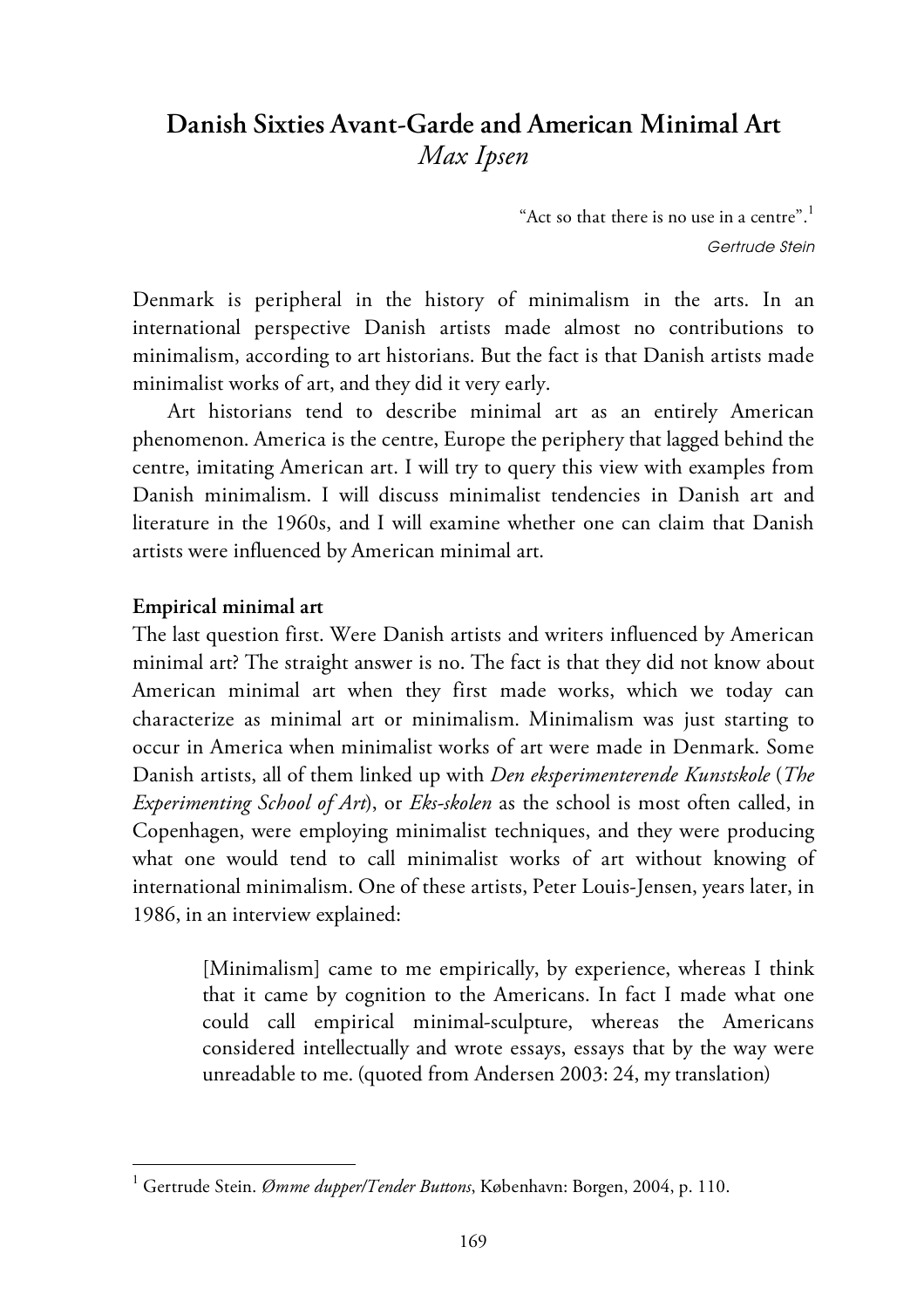# **Danish Sixties Avant-Garde and American Minimal Art** *Max Ipsen*

"Act so that there is no use in a centre".<sup>1</sup> Gertrude Stein

Denmark is peripheral in the history of minimalism in the arts. In an international perspective Danish artists made almost no contributions to minimalism, according to art historians. But the fact is that Danish artists made minimalist works of art, and they did it very early.

Art historians tend to describe minimal art as an entirely American phenomenon. America is the centre, Europe the periphery that lagged behind the centre, imitating American art. I will try to query this view with examples from Danish minimalism. I will discuss minimalist tendencies in Danish art and literature in the 1960s, and I will examine whether one can claim that Danish artists were influenced by American minimal art.

## **Empirical minimal art**

 $\overline{a}$ 

The last question first. Were Danish artists and writers influenced by American minimal art? The straight answer is no. The fact is that they did not know about American minimal art when they first made works, which we today can characterize as minimal art or minimalism. Minimalism was just starting to occur in America when minimalist works of art were made in Denmark. Some Danish artists, all of them linked up with *Den eksperimenterende Kunstskole* (*The Experimenting School of Art*), or *Eks-skolen* as the school is most often called, in Copenhagen, were employing minimalist techniques, and they were producing what one would tend to call minimalist works of art without knowing of international minimalism. One of these artists, Peter Louis-Jensen, years later, in 1986, in an interview explained:

[Minimalism] came to me empirically, by experience, whereas I think that it came by cognition to the Americans. In fact I made what one could call empirical minimal-sculpture, whereas the Americans considered intellectually and wrote essays, essays that by the way were unreadable to me. (quoted from Andersen 2003: 24, my translation)

<sup>1</sup> Gertrude Stein. *Ømme dupper/Tender Buttons*, København: Borgen, 2004, p. 110.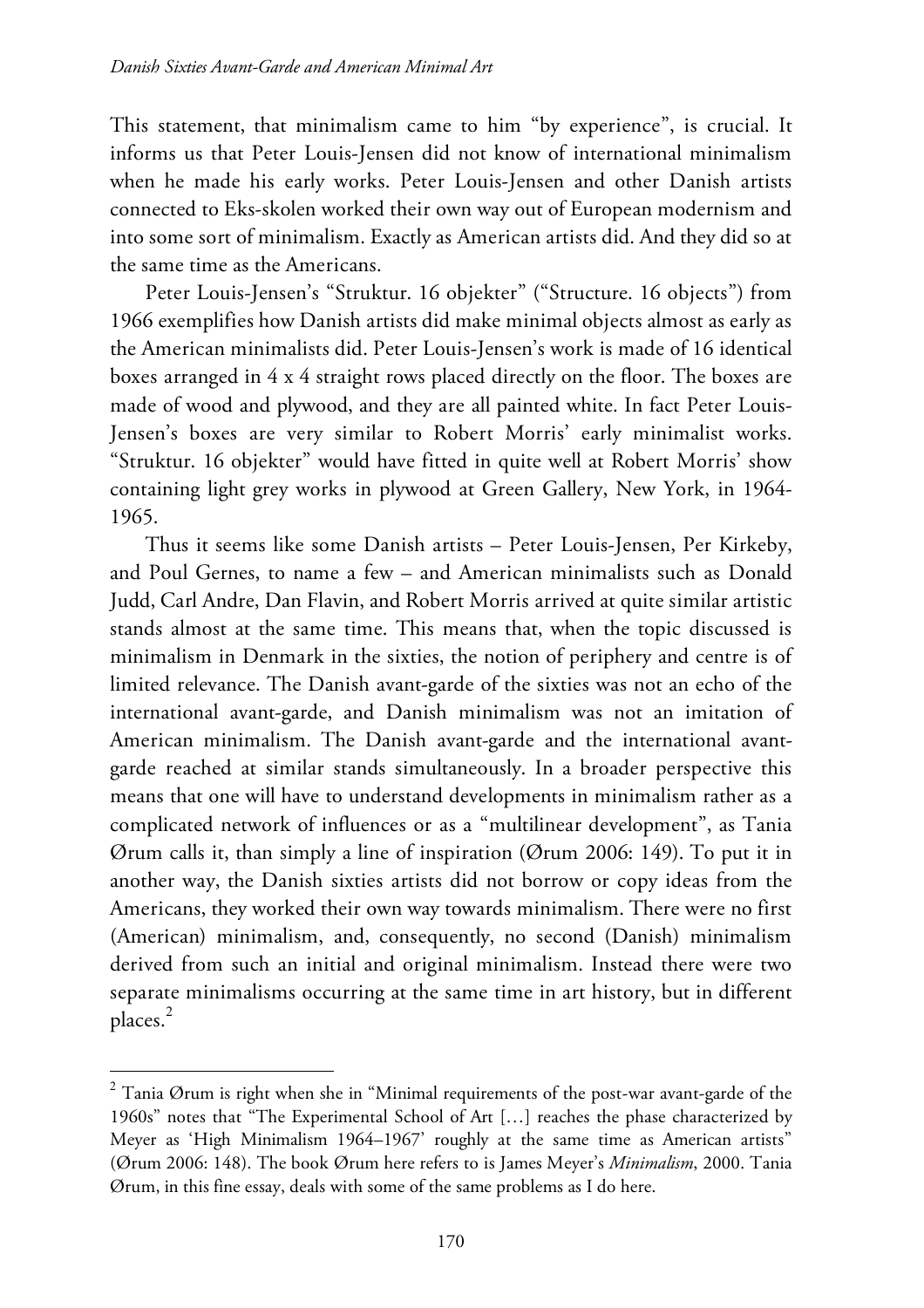This statement, that minimalism came to him "by experience", is crucial. It informs us that Peter Louis-Jensen did not know of international minimalism when he made his early works. Peter Louis-Jensen and other Danish artists connected to Eks-skolen worked their own way out of European modernism and into some sort of minimalism. Exactly as American artists did. And they did so at the same time as the Americans.

Peter Louis-Jensen's "Struktur. 16 objekter" ("Structure. 16 objects") from 1966 exemplifies how Danish artists did make minimal objects almost as early as the American minimalists did. Peter Louis-Jensen's work is made of 16 identical boxes arranged in 4 x 4 straight rows placed directly on the floor. The boxes are made of wood and plywood, and they are all painted white. In fact Peter Louis-Jensen's boxes are very similar to Robert Morris' early minimalist works. "Struktur. 16 objekter" would have fitted in quite well at Robert Morris' show containing light grey works in plywood at Green Gallery, New York, in 1964- 1965.

Thus it seems like some Danish artists – Peter Louis-Jensen, Per Kirkeby, and Poul Gernes, to name a few – and American minimalists such as Donald Judd, Carl Andre, Dan Flavin, and Robert Morris arrived at quite similar artistic stands almost at the same time. This means that, when the topic discussed is minimalism in Denmark in the sixties, the notion of periphery and centre is of limited relevance. The Danish avant-garde of the sixties was not an echo of the international avant-garde, and Danish minimalism was not an imitation of American minimalism. The Danish avant-garde and the international avantgarde reached at similar stands simultaneously. In a broader perspective this means that one will have to understand developments in minimalism rather as a complicated network of influences or as a "multilinear development", as Tania Ørum calls it, than simply a line of inspiration (Ørum 2006: 149). To put it in another way, the Danish sixties artists did not borrow or copy ideas from the Americans, they worked their own way towards minimalism. There were no first (American) minimalism, and, consequently, no second (Danish) minimalism derived from such an initial and original minimalism. Instead there were two separate minimalisms occurring at the same time in art history, but in different places. 2

 $2$  Tania Ørum is right when she in "Minimal requirements of the post-war avant-garde of the 1960s" notes that "The Experimental School of Art […] reaches the phase characterized by Meyer as 'High Minimalism 1964–1967' roughly at the same time as American artists" (Ørum 2006: 148). The book Ørum here refers to is James Meyer's *Minimalism*, 2000. Tania Ørum, in this fine essay, deals with some of the same problems as I do here.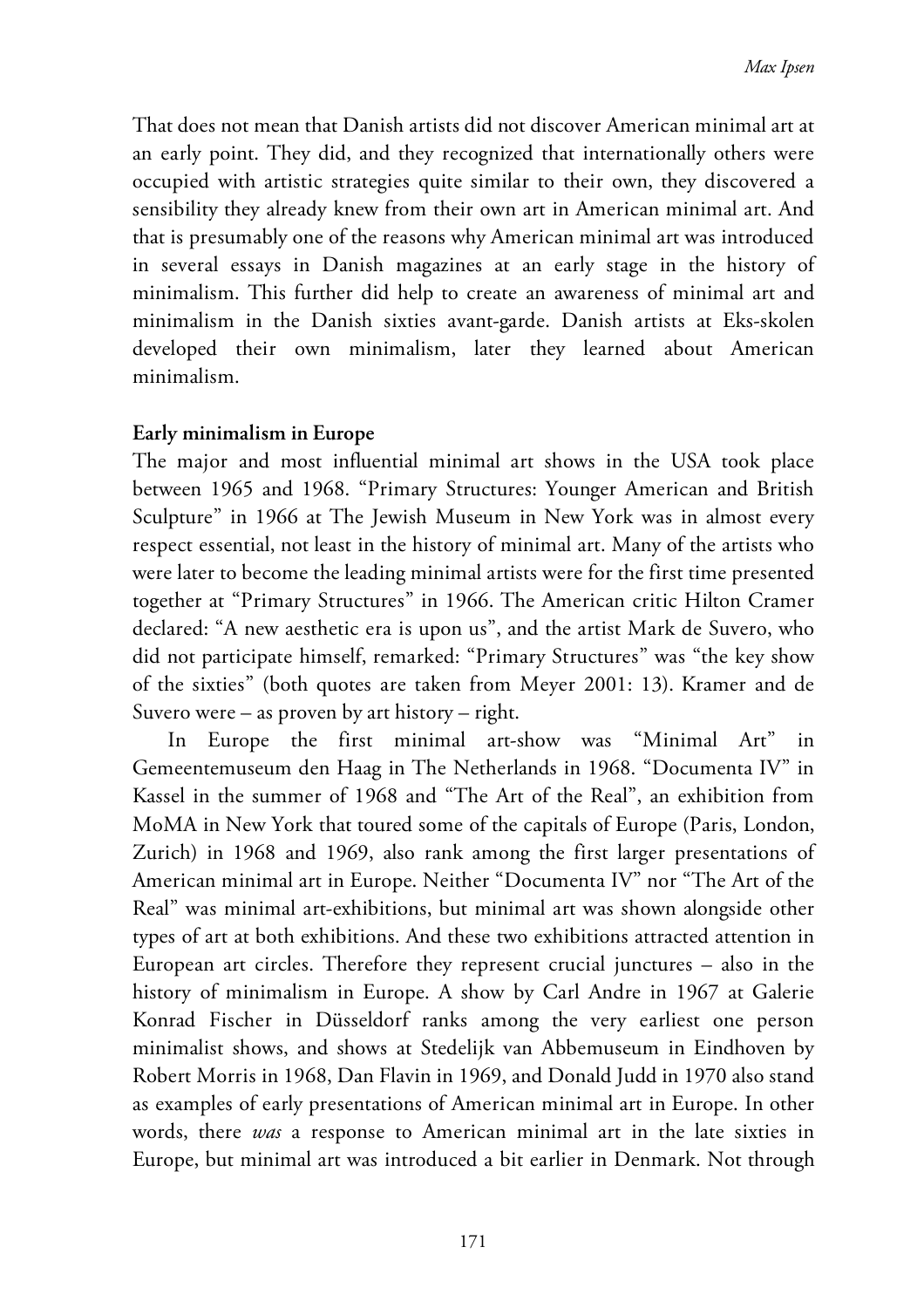That does not mean that Danish artists did not discover American minimal art at an early point. They did, and they recognized that internationally others were occupied with artistic strategies quite similar to their own, they discovered a sensibility they already knew from their own art in American minimal art. And that is presumably one of the reasons why American minimal art was introduced in several essays in Danish magazines at an early stage in the history of minimalism. This further did help to create an awareness of minimal art and minimalism in the Danish sixties avant-garde. Danish artists at Eks-skolen developed their own minimalism, later they learned about American minimalism.

## **Early minimalism in Europe**

The major and most influential minimal art shows in the USA took place between 1965 and 1968. "Primary Structures: Younger American and British Sculpture" in 1966 at The Jewish Museum in New York was in almost every respect essential, not least in the history of minimal art. Many of the artists who were later to become the leading minimal artists were for the first time presented together at "Primary Structures" in 1966. The American critic Hilton Cramer declared: "A new aesthetic era is upon us", and the artist Mark de Suvero, who did not participate himself, remarked: "Primary Structures" was "the key show of the sixties" (both quotes are taken from Meyer 2001: 13). Kramer and de Suvero were – as proven by art history – right.

In Europe the first minimal art-show was "Minimal Art" in Gemeentemuseum den Haag in The Netherlands in 1968. "Documenta IV" in Kassel in the summer of 1968 and "The Art of the Real", an exhibition from MoMA in New York that toured some of the capitals of Europe (Paris, London, Zurich) in 1968 and 1969, also rank among the first larger presentations of American minimal art in Europe. Neither "Documenta IV" nor "The Art of the Real" was minimal art-exhibitions, but minimal art was shown alongside other types of art at both exhibitions. And these two exhibitions attracted attention in European art circles. Therefore they represent crucial junctures – also in the history of minimalism in Europe. A show by Carl Andre in 1967 at Galerie Konrad Fischer in Düsseldorf ranks among the very earliest one person minimalist shows, and shows at Stedelijk van Abbemuseum in Eindhoven by Robert Morris in 1968, Dan Flavin in 1969, and Donald Judd in 1970 also stand as examples of early presentations of American minimal art in Europe. In other words, there *was* a response to American minimal art in the late sixties in Europe, but minimal art was introduced a bit earlier in Denmark. Not through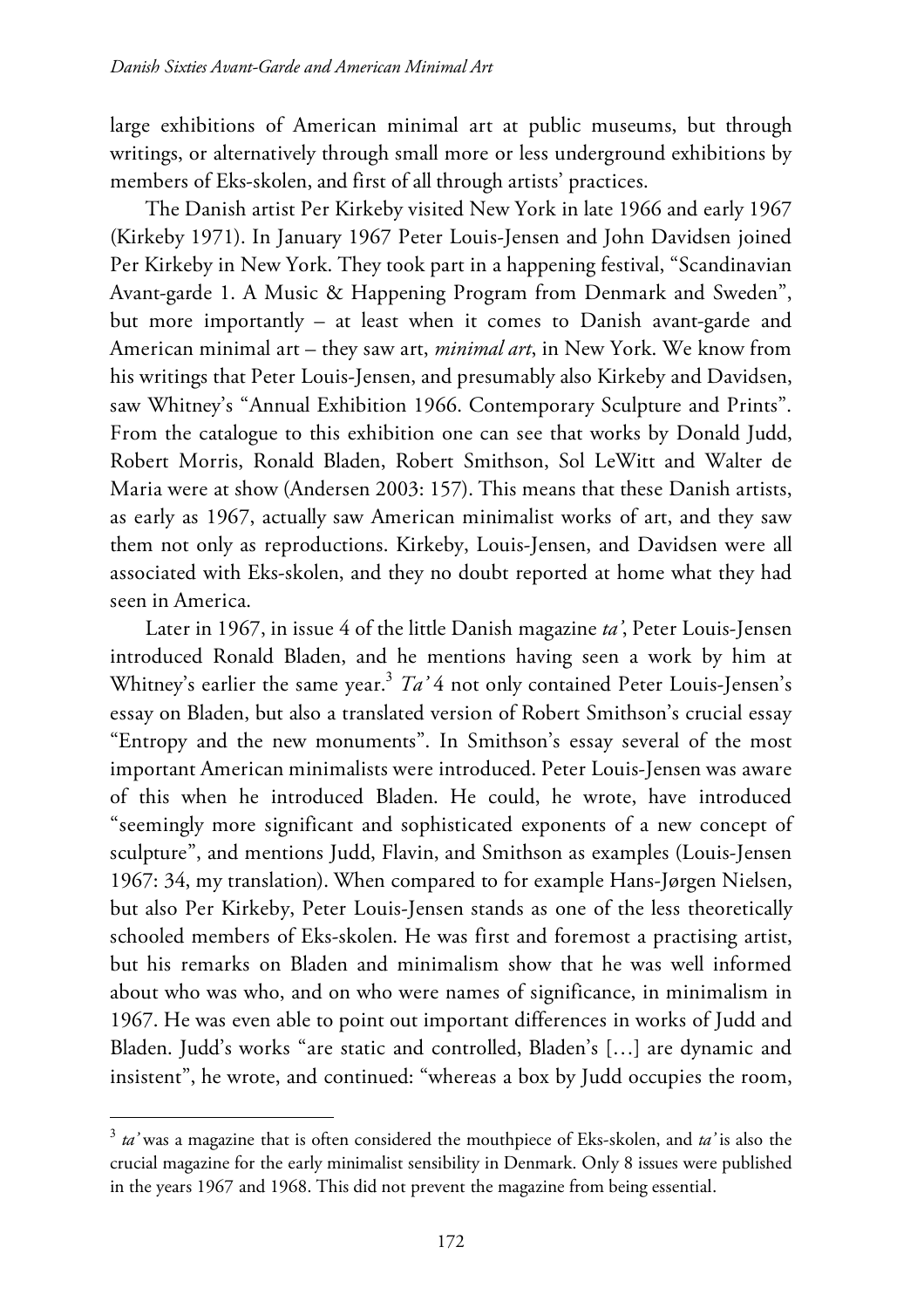large exhibitions of American minimal art at public museums, but through writings, or alternatively through small more or less underground exhibitions by members of Eks-skolen, and first of all through artists' practices.

The Danish artist Per Kirkeby visited New York in late 1966 and early 1967 (Kirkeby 1971). In January 1967 Peter Louis-Jensen and John Davidsen joined Per Kirkeby in New York. They took part in a happening festival, "Scandinavian Avant-garde 1. A Music & Happening Program from Denmark and Sweden", but more importantly – at least when it comes to Danish avant-garde and American minimal art – they saw art, *minimal art*, in New York. We know from his writings that Peter Louis-Jensen, and presumably also Kirkeby and Davidsen, saw Whitney's "Annual Exhibition 1966. Contemporary Sculpture and Prints". From the catalogue to this exhibition one can see that works by Donald Judd, Robert Morris, Ronald Bladen, Robert Smithson, Sol LeWitt and Walter de Maria were at show (Andersen 2003: 157). This means that these Danish artists, as early as 1967, actually saw American minimalist works of art, and they saw them not only as reproductions. Kirkeby, Louis-Jensen, and Davidsen were all associated with Eks-skolen, and they no doubt reported at home what they had seen in America.

Later in 1967, in issue 4 of the little Danish magazine *ta'*, Peter Louis-Jensen introduced Ronald Bladen, and he mentions having seen a work by him at Whitney's earlier the same year. <sup>3</sup> *Ta'* 4 not only contained Peter Louis-Jensen's essay on Bladen, but also a translated version of Robert Smithson's crucial essay "Entropy and the new monuments". In Smithson's essay several of the most important American minimalists were introduced. Peter Louis-Jensen was aware of this when he introduced Bladen. He could, he wrote, have introduced "seemingly more significant and sophisticated exponents of a new concept of sculpture", and mentions Judd, Flavin, and Smithson as examples (Louis-Jensen 1967: 34, my translation). When compared to for example Hans-Jørgen Nielsen, but also Per Kirkeby, Peter Louis-Jensen stands as one of the less theoretically schooled members of Eks-skolen. He was first and foremost a practising artist, but his remarks on Bladen and minimalism show that he was well informed about who was who, and on who were names of significance, in minimalism in 1967. He was even able to point out important differences in works of Judd and Bladen. Judd's works "are static and controlled, Bladen's […] are dynamic and insistent", he wrote, and continued: "whereas a box by Judd occupies the room,

<sup>3</sup> *ta'* was a magazine that is often considered the mouthpiece of Eks-skolen, and *ta'* is also the crucial magazine for the early minimalist sensibility in Denmark. Only 8 issues were published in the years 1967 and 1968. This did not prevent the magazine from being essential.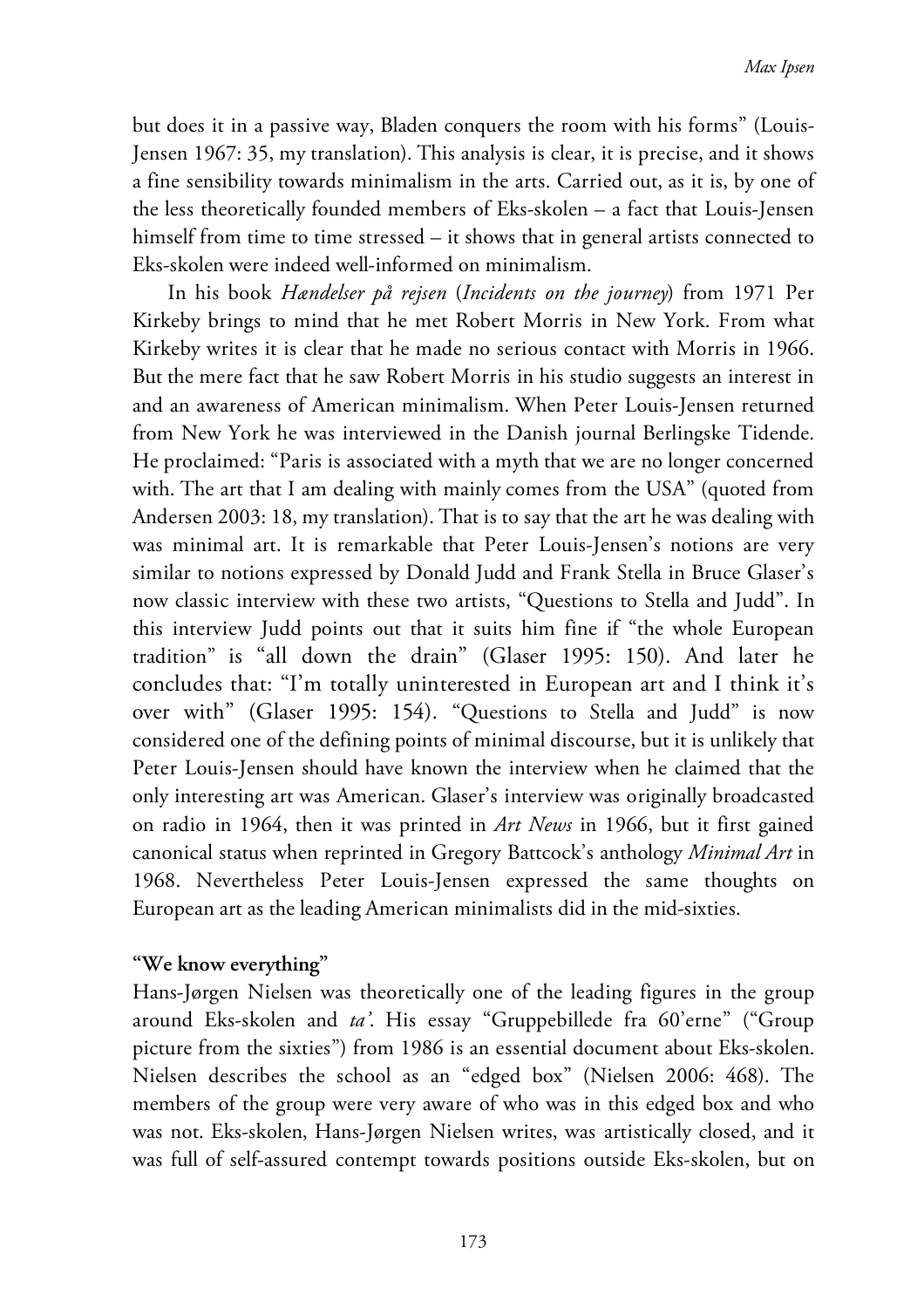but does it in a passive way, Bladen conquers the room with his forms" (Louis-Jensen 1967: 35, my translation). This analysis is clear, it is precise, and it shows a fine sensibility towards minimalism in the arts. Carried out, as it is, by one of the less theoretically founded members of Eks-skolen – a fact that Louis-Jensen himself from time to time stressed – it shows that in general artists connected to Eks-skolen were indeed well-informed on minimalism.

In his book *Hændelser på rejsen* (*Incidents on the journey*) from 1971 Per Kirkeby brings to mind that he met Robert Morris in New York. From what Kirkeby writes it is clear that he made no serious contact with Morris in 1966. But the mere fact that he saw Robert Morris in his studio suggests an interest in and an awareness of American minimalism. When Peter Louis-Jensen returned from New York he was interviewed in the Danish journal Berlingske Tidende. He proclaimed: "Paris is associated with a myth that we are no longer concerned with. The art that I am dealing with mainly comes from the USA" (quoted from Andersen 2003: 18, my translation). That is to say that the art he was dealing with was minimal art. It is remarkable that Peter Louis-Jensen's notions are very similar to notions expressed by Donald Judd and Frank Stella in Bruce Glaser's now classic interview with these two artists, "Questions to Stella and Judd". In this interview Judd points out that it suits him fine if "the whole European tradition" is "all down the drain" (Glaser 1995: 150). And later he concludes that: "I'm totally uninterested in European art and I think it's over with" (Glaser 1995: 154). "Questions to Stella and Judd" is now considered one of the defining points of minimal discourse, but it is unlikely that Peter Louis-Jensen should have known the interview when he claimed that the only interesting art was American. Glaser's interview was originally broadcasted on radio in 1964, then it was printed in *Art News* in 1966, but it first gained canonical status when reprinted in Gregory Battcock's anthology *Minimal Art* in 1968. Nevertheless Peter Louis-Jensen expressed the same thoughts on European art as the leading American minimalists did in the mid-sixties.

# **"We know everything"**

Hans-Jørgen Nielsen was theoretically one of the leading figures in the group around Eks-skolen and *ta'*. His essay "Gruppebillede fra 60'erne" ("Group picture from the sixties") from 1986 is an essential document about Eks-skolen. Nielsen describes the school as an "edged box" (Nielsen 2006: 468). The members of the group were very aware of who was in this edged box and who was not. Eks-skolen, Hans-Jørgen Nielsen writes, was artistically closed, and it was full of self-assured contempt towards positions outside Eks-skolen, but on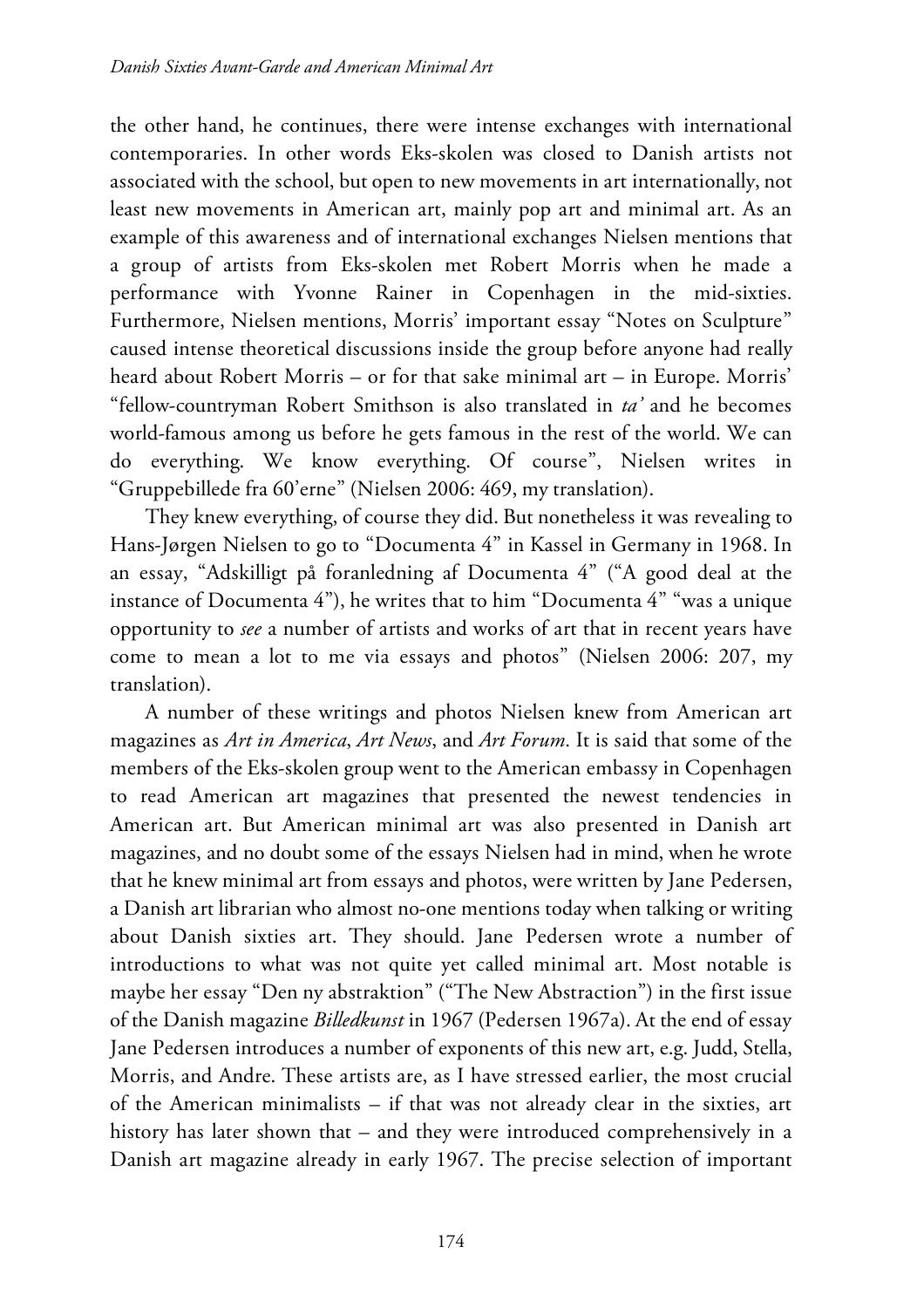the other hand, he continues, there were intense exchanges with international contemporaries. In other words Eks-skolen was closed to Danish artists not associated with the school, but open to new movements in art internationally, not least new movements in American art, mainly pop art and minimal art. As an example of this awareness and of international exchanges Nielsen mentions that a group of artists from Eks-skolen met Robert Morris when he made a performance with Yvonne Rainer in Copenhagen in the mid-sixties. Furthermore, Nielsen mentions, Morris' important essay "Notes on Sculpture" caused intense theoretical discussions inside the group before anyone had really heard about Robert Morris – or for that sake minimal art – in Europe. Morris' "fellow-countryman Robert Smithson is also translated in *ta'* and he becomes world-famous among us before he gets famous in the rest of the world. We can do everything. We know everything. Of course", Nielsen writes in "Gruppebillede fra 60'erne" (Nielsen 2006: 469, my translation).

They knew everything, of course they did. But nonetheless it was revealing to Hans-Jørgen Nielsen to go to "Documenta 4" in Kassel in Germany in 1968. In an essay, "Adskilligt på foranledning af Documenta 4" ("A good deal at the instance of Documenta 4"), he writes that to him "Documenta 4" "was a unique opportunity to *see* a number of artists and works of art that in recent years have come to mean a lot to me via essays and photos" (Nielsen 2006: 207, my translation).

A number of these writings and photos Nielsen knew from American art magazines as *Art in America*, *Art News*, and *Art Forum*. It is said that some of the members of the Eks-skolen group went to the American embassy in Copenhagen to read American art magazines that presented the newest tendencies in American art. But American minimal art was also presented in Danish art magazines, and no doubt some of the essays Nielsen had in mind, when he wrote that he knew minimal art from essays and photos, were written by Jane Pedersen, a Danish art librarian who almost no-one mentions today when talking or writing about Danish sixties art. They should. Jane Pedersen wrote a number of introductions to what was not quite yet called minimal art. Most notable is maybe her essay "Den ny abstraktion" ("The New Abstraction") in the first issue of the Danish magazine *Billedkunst* in 1967 (Pedersen 1967a). At the end of essay Jane Pedersen introduces a number of exponents of this new art, e.g. Judd, Stella, Morris, and Andre. These artists are, as I have stressed earlier, the most crucial of the American minimalists – if that was not already clear in the sixties, art history has later shown that – and they were introduced comprehensively in a Danish art magazine already in early 1967. The precise selection of important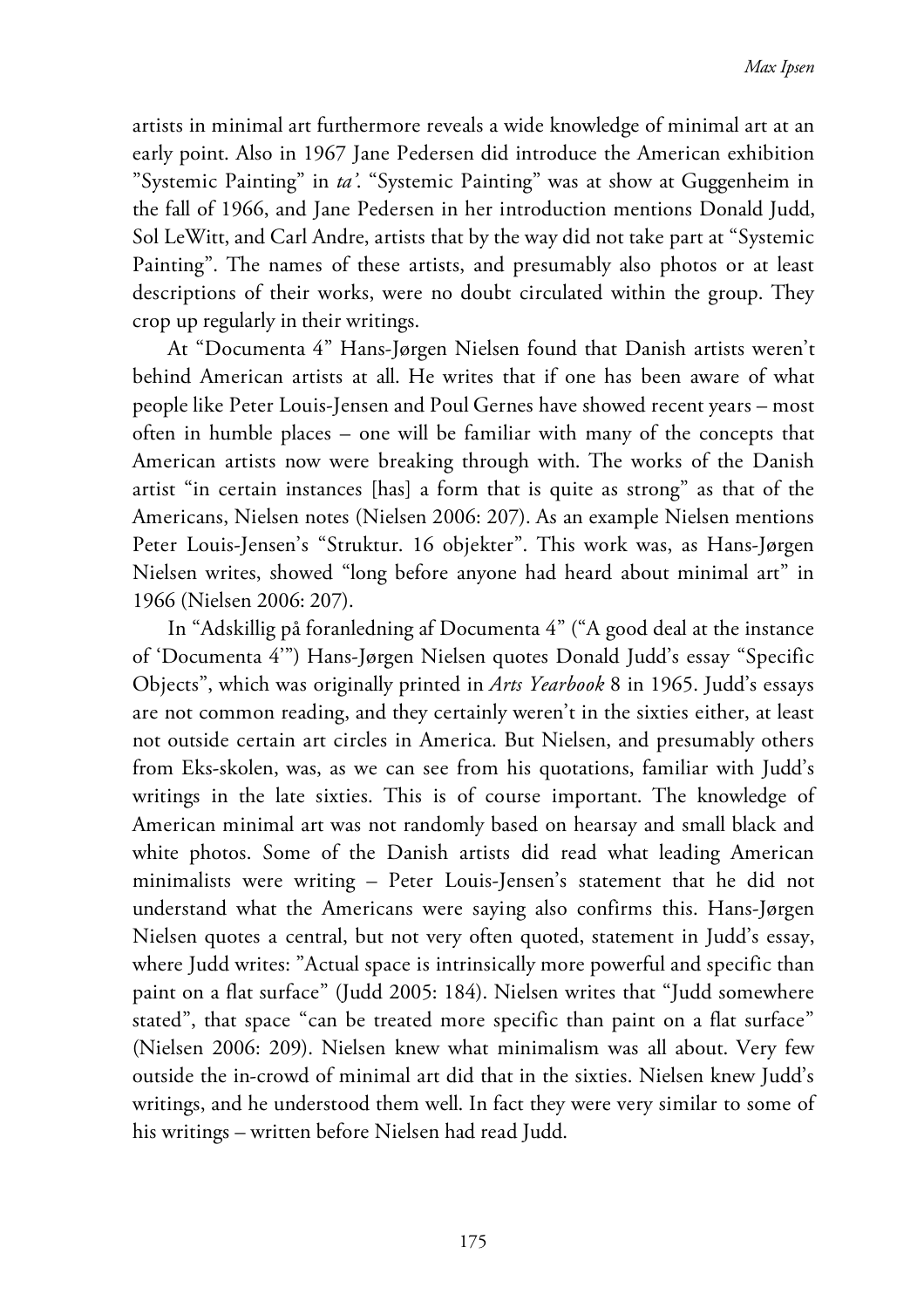artists in minimal art furthermore reveals a wide knowledge of minimal art at an early point. Also in 1967 Jane Pedersen did introduce the American exhibition "Systemic Painting" in *ta'*. "Systemic Painting" was at show at Guggenheim in the fall of 1966, and Jane Pedersen in her introduction mentions Donald Judd, Sol LeWitt, and Carl Andre, artists that by the way did not take part at "Systemic Painting". The names of these artists, and presumably also photos or at least descriptions of their works, were no doubt circulated within the group. They crop up regularly in their writings.

At "Documenta 4" Hans-Jørgen Nielsen found that Danish artists weren't behind American artists at all. He writes that if one has been aware of what people like Peter Louis-Jensen and Poul Gernes have showed recent years – most often in humble places – one will be familiar with many of the concepts that American artists now were breaking through with. The works of the Danish artist "in certain instances [has] a form that is quite as strong" as that of the Americans, Nielsen notes (Nielsen 2006: 207). As an example Nielsen mentions Peter Louis-Jensen's "Struktur. 16 objekter". This work was, as Hans-Jørgen Nielsen writes, showed "long before anyone had heard about minimal art" in 1966 (Nielsen 2006: 207).

In "Adskillig på foranledning af Documenta 4" ("A good deal at the instance of 'Documenta 4'") Hans-Jørgen Nielsen quotes Donald Judd's essay "Specific Objects", which was originally printed in *Arts Yearbook* 8 in 1965. Judd's essays are not common reading, and they certainly weren't in the sixties either, at least not outside certain art circles in America. But Nielsen, and presumably others from Eks-skolen, was, as we can see from his quotations, familiar with Judd's writings in the late sixties. This is of course important. The knowledge of American minimal art was not randomly based on hearsay and small black and white photos. Some of the Danish artists did read what leading American minimalists were writing – Peter Louis-Jensen's statement that he did not understand what the Americans were saying also confirms this. Hans-Jørgen Nielsen quotes a central, but not very often quoted, statement in Judd's essay, where Judd writes: "Actual space is intrinsically more powerful and specific than paint on a flat surface" (Judd 2005: 184). Nielsen writes that "Judd somewhere stated", that space "can be treated more specific than paint on a flat surface" (Nielsen 2006: 209). Nielsen knew what minimalism was all about. Very few outside the in-crowd of minimal art did that in the sixties. Nielsen knew Judd's writings, and he understood them well. In fact they were very similar to some of his writings – written before Nielsen had read Judd.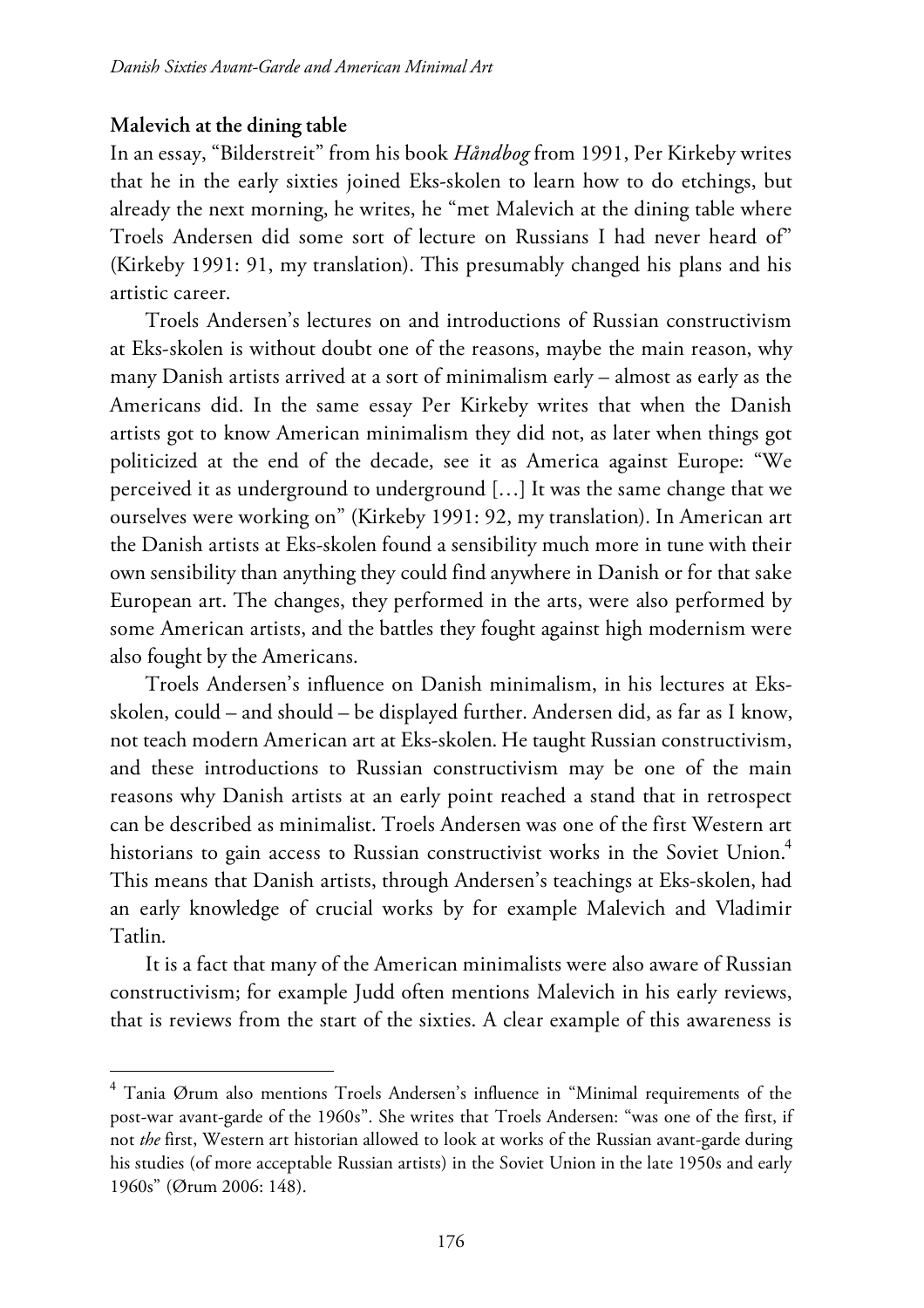#### **Malevich at the dining table**

In an essay, "Bilderstreit" from his book *Håndbog* from 1991, Per Kirkeby writes that he in the early sixties joined Eks-skolen to learn how to do etchings, but already the next morning, he writes, he "met Malevich at the dining table where Troels Andersen did some sort of lecture on Russians I had never heard of" (Kirkeby 1991: 91, my translation). This presumably changed his plans and his artistic career.

Troels Andersen's lectures on and introductions of Russian constructivism at Eks-skolen is without doubt one of the reasons, maybe the main reason, why many Danish artists arrived at a sort of minimalism early – almost as early as the Americans did. In the same essay Per Kirkeby writes that when the Danish artists got to know American minimalism they did not, as later when things got politicized at the end of the decade, see it as America against Europe: "We perceived it as underground to underground […] It was the same change that we ourselves were working on" (Kirkeby 1991: 92, my translation). In American art the Danish artists at Eks-skolen found a sensibility much more in tune with their own sensibility than anything they could find anywhere in Danish or for that sake European art. The changes, they performed in the arts, were also performed by some American artists, and the battles they fought against high modernism were also fought by the Americans.

Troels Andersen's influence on Danish minimalism, in his lectures at Eksskolen, could – and should – be displayed further. Andersen did, as far as I know, not teach modern American art at Eks-skolen. He taught Russian constructivism, and these introductions to Russian constructivism may be one of the main reasons why Danish artists at an early point reached a stand that in retrospect can be described as minimalist. Troels Andersen was one of the first Western art historians to gain access to Russian constructivist works in the Soviet Union. $^{\text{4}}$ This means that Danish artists, through Andersen's teachings at Eks-skolen, had an early knowledge of crucial works by for example Malevich and Vladimir Tatlin.

It is a fact that many of the American minimalists were also aware of Russian constructivism; for example Judd often mentions Malevich in his early reviews, that is reviews from the start of the sixties. A clear example of this awareness is

<sup>4</sup> Tania Ørum also mentions Troels Andersen's influence in "Minimal requirements of the post-war avant-garde of the 1960s". She writes that Troels Andersen: "was one of the first, if not *the* first, Western art historian allowed to look at works of the Russian avant-garde during his studies (of more acceptable Russian artists) in the Soviet Union in the late 1950s and early 1960s" (Ørum 2006: 148).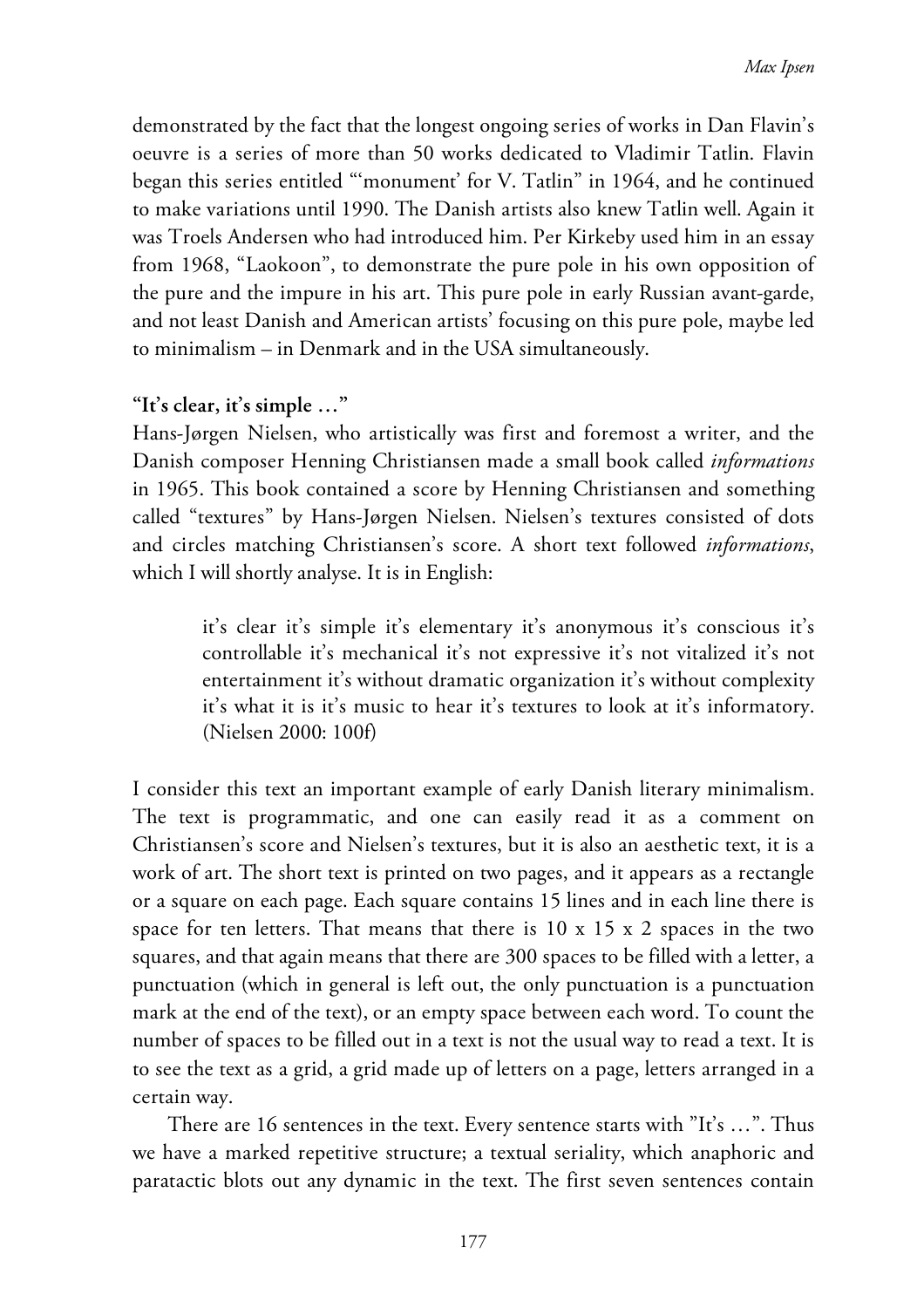demonstrated by the fact that the longest ongoing series of works in Dan Flavin's oeuvre is a series of more than 50 works dedicated to Vladimir Tatlin. Flavin began this series entitled "'monument' for V. Tatlin" in 1964, and he continued to make variations until 1990. The Danish artists also knew Tatlin well. Again it was Troels Andersen who had introduced him. Per Kirkeby used him in an essay from 1968, "Laokoon", to demonstrate the pure pole in his own opposition of the pure and the impure in his art. This pure pole in early Russian avant-garde, and not least Danish and American artists' focusing on this pure pole, maybe led to minimalism – in Denmark and in the USA simultaneously.

# **"It's clear, it's simple …"**

Hans-Jørgen Nielsen, who artistically was first and foremost a writer, and the Danish composer Henning Christiansen made a small book called *informations* in 1965. This book contained a score by Henning Christiansen and something called "textures" by Hans-Jørgen Nielsen. Nielsen's textures consisted of dots and circles matching Christiansen's score. A short text followed *informations*, which I will shortly analyse. It is in English:

it's clear it's simple it's elementary it's anonymous it's conscious it's controllable it's mechanical it's not expressive it's not vitalized it's not entertainment it's without dramatic organization it's without complexity it's what it is it's music to hear it's textures to look at it's informatory. (Nielsen 2000: 100f)

I consider this text an important example of early Danish literary minimalism. The text is programmatic, and one can easily read it as a comment on Christiansen's score and Nielsen's textures, but it is also an aesthetic text, it is a work of art. The short text is printed on two pages, and it appears as a rectangle or a square on each page. Each square contains 15 lines and in each line there is space for ten letters. That means that there is  $10 \times 15 \times 2$  spaces in the two squares, and that again means that there are 300 spaces to be filled with a letter, a punctuation (which in general is left out, the only punctuation is a punctuation mark at the end of the text), or an empty space between each word. To count the number of spaces to be filled out in a text is not the usual way to read a text. It is to see the text as a grid, a grid made up of letters on a page, letters arranged in a certain way.

There are 16 sentences in the text. Every sentence starts with "It's …". Thus we have a marked repetitive structure; a textual seriality, which anaphoric and paratactic blots out any dynamic in the text. The first seven sentences contain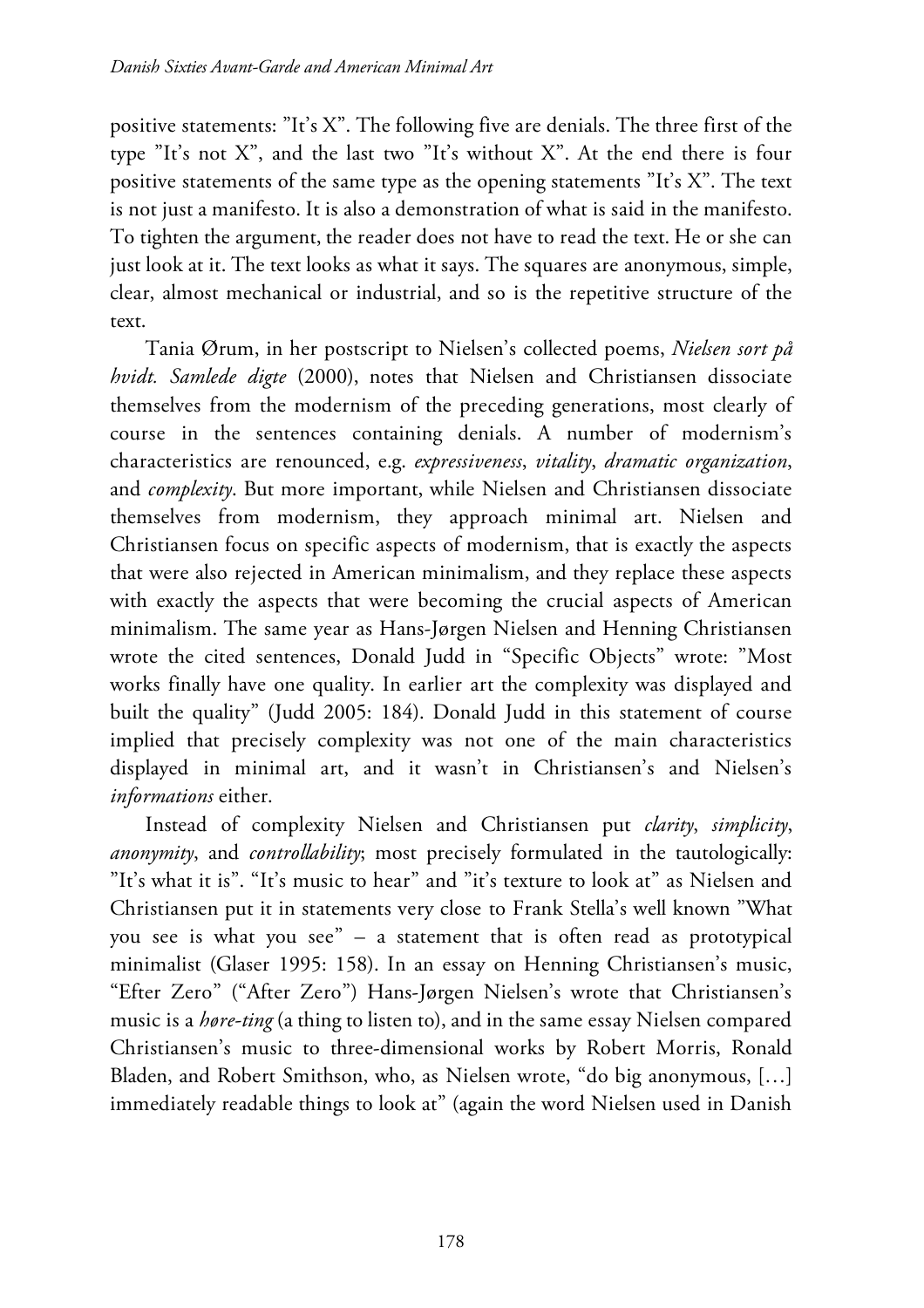positive statements: "It's X". The following five are denials. The three first of the type "It's not X", and the last two "It's without X". At the end there is four positive statements of the same type as the opening statements "It's X". The text is not just a manifesto. It is also a demonstration of what is said in the manifesto. To tighten the argument, the reader does not have to read the text. He or she can just look at it. The text looks as what it says. The squares are anonymous, simple, clear, almost mechanical or industrial, and so is the repetitive structure of the text.

Tania Ørum, in her postscript to Nielsen's collected poems, *Nielsen sort på hvidt. Samlede digte* (2000), notes that Nielsen and Christiansen dissociate themselves from the modernism of the preceding generations, most clearly of course in the sentences containing denials. A number of modernism's characteristics are renounced, e.g. *expressiveness*, *vitality*, *dramatic organization*, and *complexity*. But more important, while Nielsen and Christiansen dissociate themselves from modernism, they approach minimal art. Nielsen and Christiansen focus on specific aspects of modernism, that is exactly the aspects that were also rejected in American minimalism, and they replace these aspects with exactly the aspects that were becoming the crucial aspects of American minimalism. The same year as Hans-Jørgen Nielsen and Henning Christiansen wrote the cited sentences, Donald Judd in "Specific Objects" wrote: "Most works finally have one quality. In earlier art the complexity was displayed and built the quality" (Judd 2005: 184). Donald Judd in this statement of course implied that precisely complexity was not one of the main characteristics displayed in minimal art, and it wasn't in Christiansen's and Nielsen's *informations* either.

Instead of complexity Nielsen and Christiansen put *clarity*, *simplicity*, *anonymity*, and *controllability*; most precisely formulated in the tautologically: "It's what it is". "It's music to hear" and "it's texture to look at" as Nielsen and Christiansen put it in statements very close to Frank Stella's well known "What you see is what you see" – a statement that is often read as prototypical minimalist (Glaser 1995: 158). In an essay on Henning Christiansen's music, "Efter Zero" ("After Zero") Hans-Jørgen Nielsen's wrote that Christiansen's music is a *høre-ting* (a thing to listen to), and in the same essay Nielsen compared Christiansen's music to three-dimensional works by Robert Morris, Ronald Bladen, and Robert Smithson, who, as Nielsen wrote, "do big anonymous, […] immediately readable things to look at" (again the word Nielsen used in Danish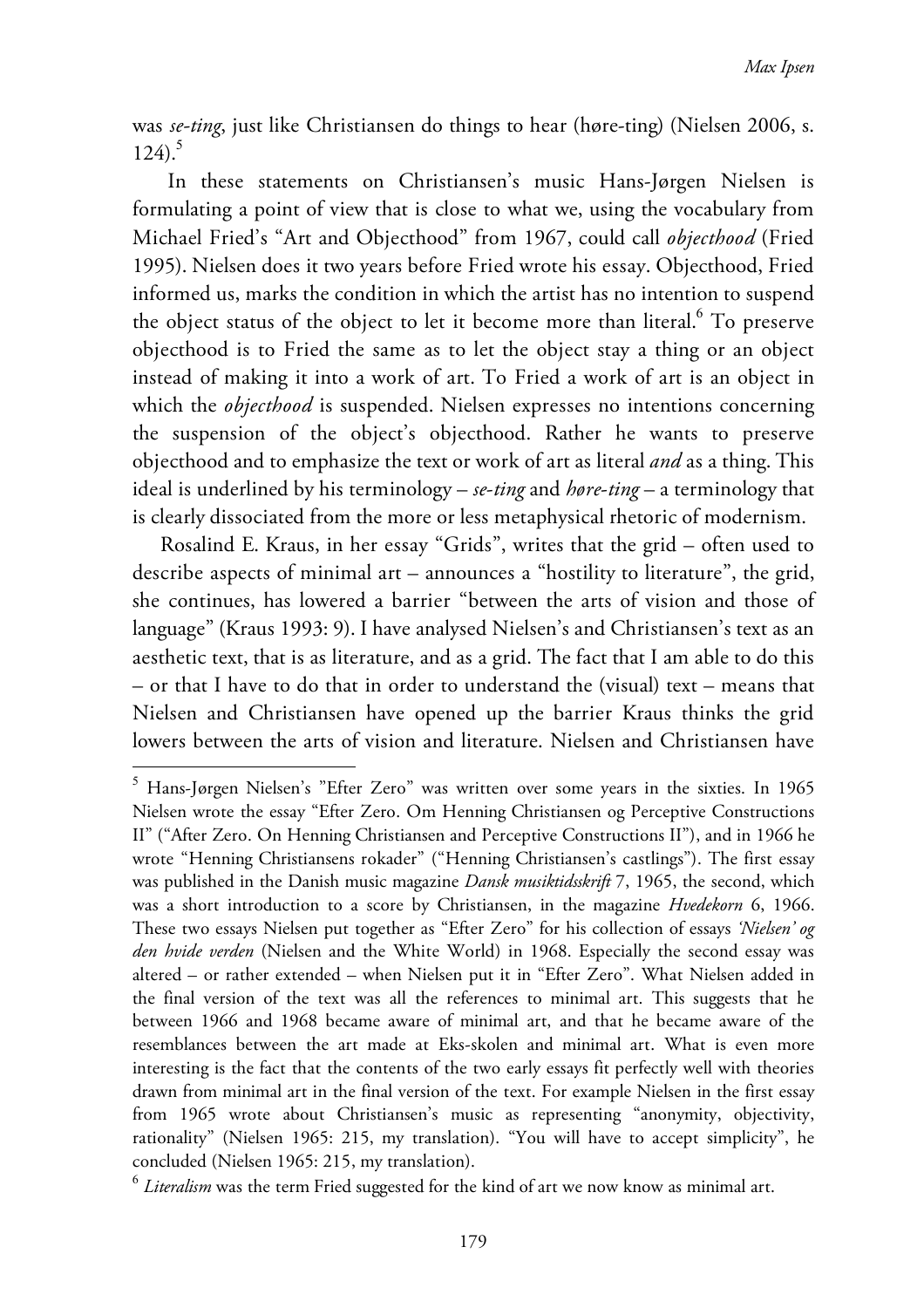was *se-ting*, just like Christiansen do things to hear (høre-ting) (Nielsen 2006, s. 124). 5

In these statements on Christiansen's music Hans-Jørgen Nielsen is formulating a point of view that is close to what we, using the vocabulary from Michael Fried's "Art and Objecthood" from 1967, could call *objecthood* (Fried 1995). Nielsen does it two years before Fried wrote his essay. Objecthood, Fried informed us, marks the condition in which the artist has no intention to suspend the object status of the object to let it become more than literal. $^6$  To preserve objecthood is to Fried the same as to let the object stay a thing or an object instead of making it into a work of art. To Fried a work of art is an object in which the *objecthood* is suspended. Nielsen expresses no intentions concerning the suspension of the object's objecthood. Rather he wants to preserve objecthood and to emphasize the text or work of art as literal *and* as a thing. This ideal is underlined by his terminology – *se*-*ting* and *høre*-*ting* – a terminology that is clearly dissociated from the more or less metaphysical rhetoric of modernism.

Rosalind E. Kraus, in her essay "Grids", writes that the grid – often used to describe aspects of minimal art – announces a "hostility to literature", the grid, she continues, has lowered a barrier "between the arts of vision and those of language" (Kraus 1993: 9). I have analysed Nielsen's and Christiansen's text as an aesthetic text, that is as literature, and as a grid. The fact that I am able to do this – or that I have to do that in order to understand the (visual) text – means that Nielsen and Christiansen have opened up the barrier Kraus thinks the grid lowers between the arts of vision and literature. Nielsen and Christiansen have

<sup>5</sup> Hans-Jørgen Nielsen's "Efter Zero" was written over some years in the sixties. In 1965 Nielsen wrote the essay "Efter Zero. Om Henning Christiansen og Perceptive Constructions II" ("After Zero. On Henning Christiansen and Perceptive Constructions II"), and in 1966 he wrote "Henning Christiansens rokader" ("Henning Christiansen's castlings"). The first essay was published in the Danish music magazine *Dansk musiktidsskrift* 7, 1965, the second, which was a short introduction to a score by Christiansen, in the magazine *Hvedekorn* 6, 1966. These two essays Nielsen put together as "Efter Zero" for his collection of essays *'Nielsen' og den hvide verden* (Nielsen and the White World) in 1968. Especially the second essay was altered – or rather extended – when Nielsen put it in "Efter Zero". What Nielsen added in the final version of the text was all the references to minimal art. This suggests that he between 1966 and 1968 became aware of minimal art, and that he became aware of the resemblances between the art made at Eks-skolen and minimal art. What is even more interesting is the fact that the contents of the two early essays fit perfectly well with theories drawn from minimal art in the final version of the text. For example Nielsen in the first essay from 1965 wrote about Christiansen's music as representing "anonymity, objectivity, rationality" (Nielsen 1965: 215, my translation). "You will have to accept simplicity", he concluded (Nielsen 1965: 215, my translation).

<sup>6</sup> *Literalism* was the term Fried suggested for the kind of art we now know as minimal art.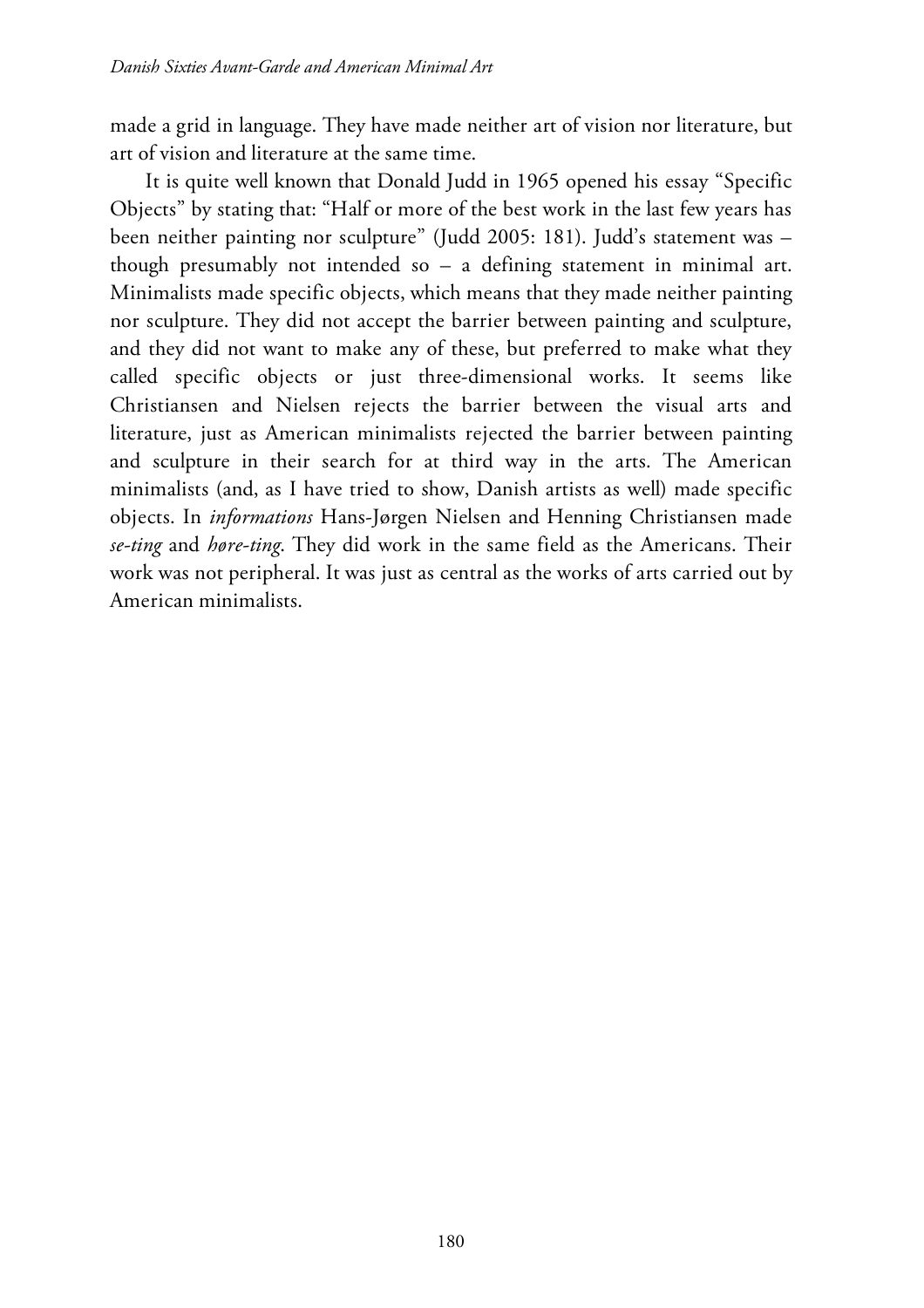made a grid in language. They have made neither art of vision nor literature, but art of vision and literature at the same time.

It is quite well known that Donald Judd in 1965 opened his essay "Specific Objects" by stating that: "Half or more of the best work in the last few years has been neither painting nor sculpture" (Judd 2005: 181). Judd's statement was – though presumably not intended so – a defining statement in minimal art. Minimalists made specific objects, which means that they made neither painting nor sculpture. They did not accept the barrier between painting and sculpture, and they did not want to make any of these, but preferred to make what they called specific objects or just three-dimensional works. It seems like Christiansen and Nielsen rejects the barrier between the visual arts and literature, just as American minimalists rejected the barrier between painting and sculpture in their search for at third way in the arts. The American minimalists (and, as I have tried to show, Danish artists as well) made specific objects. In *informations* Hans-Jørgen Nielsen and Henning Christiansen made *se-ting* and *høre-ting*. They did work in the same field as the Americans. Their work was not peripheral. It was just as central as the works of arts carried out by American minimalists.